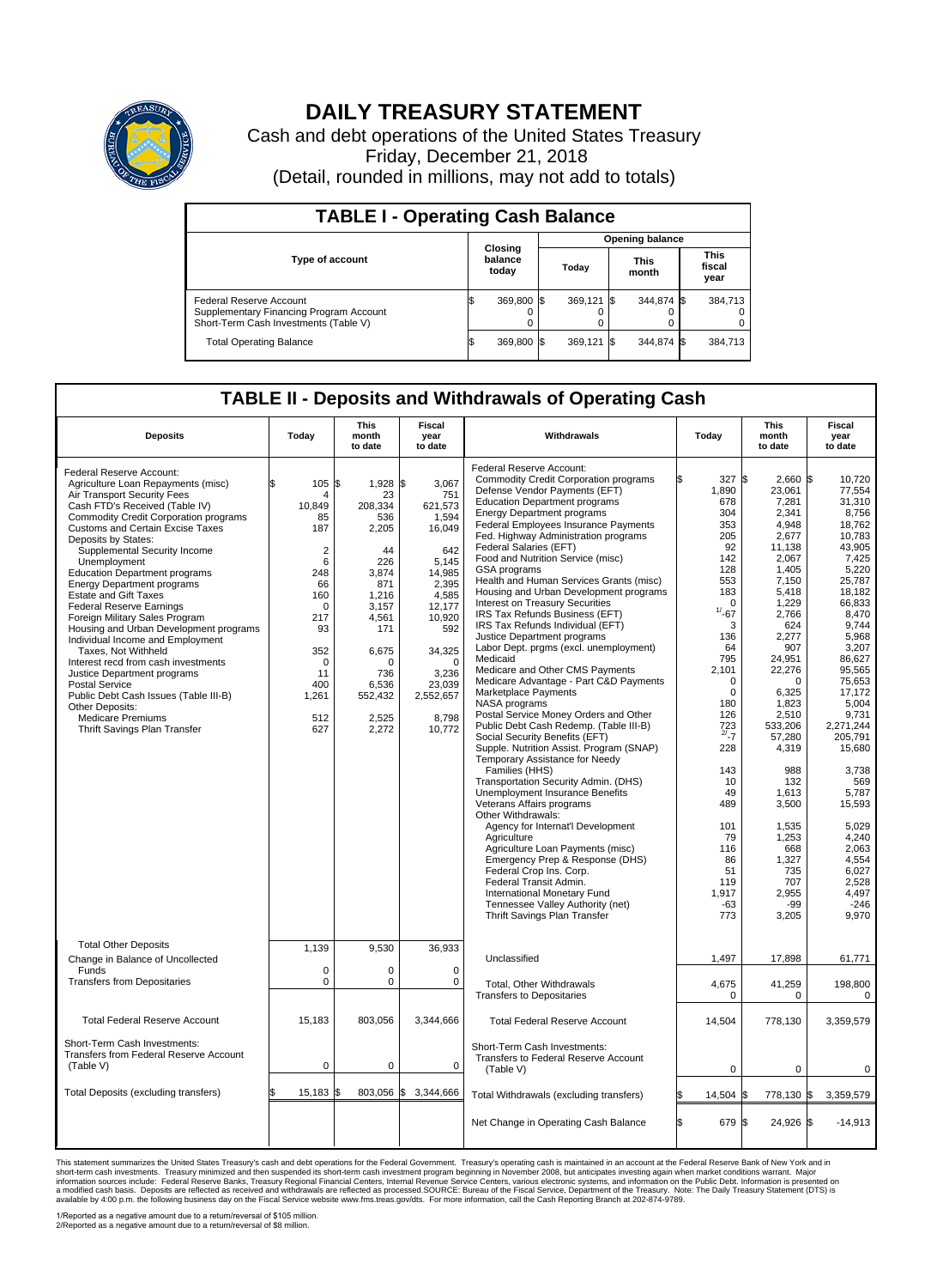

## **DAILY TREASURY STATEMENT**

Cash and debt operations of the United States Treasury Friday, December 21, 2018 (Detail, rounded in millions, may not add to totals)

| <b>TABLE I - Operating Cash Balance</b>                                                                            |                             |            |  |                        |  |                      |  |                               |  |  |  |
|--------------------------------------------------------------------------------------------------------------------|-----------------------------|------------|--|------------------------|--|----------------------|--|-------------------------------|--|--|--|
|                                                                                                                    |                             |            |  | <b>Opening balance</b> |  |                      |  |                               |  |  |  |
| <b>Type of account</b>                                                                                             | Closing<br>balance<br>today |            |  | Today                  |  | <b>This</b><br>month |  | <b>This</b><br>fiscal<br>year |  |  |  |
| <b>Federal Reserve Account</b><br>Supplementary Financing Program Account<br>Short-Term Cash Investments (Table V) |                             | 369,800 \$ |  | 369.121 \$             |  | 344,874 \$           |  | 384,713                       |  |  |  |
| <b>Total Operating Balance</b>                                                                                     |                             | 369,800 \$ |  | 369,121 \$             |  | 344,874 \$           |  | 384,713                       |  |  |  |

## **TABLE II - Deposits and Withdrawals of Operating Cash**

| <b>Deposits</b>                                                                                                                                                                                                                                                                                                                                                                                                                                                                                                                                                                                                                                                                                                                                                                                          | Today                                                                                                                                                                  | <b>This</b><br>month<br>to date                                                                                                                                             | <b>Fiscal</b><br>year<br>to date                                                                                                                                                           | Withdrawals                                                                                                                                                                                                                                                                                                                                                                                                                                                                                                                                                                                                                                                                                                                                                                                                                                                                                                                                                                                                                                                                                                                                                                                                                                                                                                                                                                                                 | Today                                                                                                                                                                                                                                                                                                          | <b>This</b><br>month<br>to date                                                                                                                                                                                                                                                                                                                   | Fiscal<br>year<br>to date                                                                                                                                                                                                                                                                                                                                              |
|----------------------------------------------------------------------------------------------------------------------------------------------------------------------------------------------------------------------------------------------------------------------------------------------------------------------------------------------------------------------------------------------------------------------------------------------------------------------------------------------------------------------------------------------------------------------------------------------------------------------------------------------------------------------------------------------------------------------------------------------------------------------------------------------------------|------------------------------------------------------------------------------------------------------------------------------------------------------------------------|-----------------------------------------------------------------------------------------------------------------------------------------------------------------------------|--------------------------------------------------------------------------------------------------------------------------------------------------------------------------------------------|-------------------------------------------------------------------------------------------------------------------------------------------------------------------------------------------------------------------------------------------------------------------------------------------------------------------------------------------------------------------------------------------------------------------------------------------------------------------------------------------------------------------------------------------------------------------------------------------------------------------------------------------------------------------------------------------------------------------------------------------------------------------------------------------------------------------------------------------------------------------------------------------------------------------------------------------------------------------------------------------------------------------------------------------------------------------------------------------------------------------------------------------------------------------------------------------------------------------------------------------------------------------------------------------------------------------------------------------------------------------------------------------------------------|----------------------------------------------------------------------------------------------------------------------------------------------------------------------------------------------------------------------------------------------------------------------------------------------------------------|---------------------------------------------------------------------------------------------------------------------------------------------------------------------------------------------------------------------------------------------------------------------------------------------------------------------------------------------------|------------------------------------------------------------------------------------------------------------------------------------------------------------------------------------------------------------------------------------------------------------------------------------------------------------------------------------------------------------------------|
| Federal Reserve Account:<br>Agriculture Loan Repayments (misc)<br>Air Transport Security Fees<br>Cash FTD's Received (Table IV)<br><b>Commodity Credit Corporation programs</b><br>Customs and Certain Excise Taxes<br>Deposits by States:<br>Supplemental Security Income<br>Unemployment<br><b>Education Department programs</b><br><b>Energy Department programs</b><br><b>Estate and Gift Taxes</b><br><b>Federal Reserve Earnings</b><br>Foreign Military Sales Program<br>Housing and Urban Development programs<br>Individual Income and Employment<br>Taxes, Not Withheld<br>Interest recd from cash investments<br>Justice Department programs<br><b>Postal Service</b><br>Public Debt Cash Issues (Table III-B)<br>Other Deposits:<br><b>Medicare Premiums</b><br>Thrift Savings Plan Transfer | 105<br>\$<br>4<br>10,849<br>85<br>187<br>$\overline{2}$<br>6<br>248<br>66<br>160<br>$\mathbf 0$<br>217<br>93<br>352<br>$\mathbf 0$<br>11<br>400<br>1,261<br>512<br>627 | \$<br>$1,928$ \$<br>23<br>208,334<br>536<br>2,205<br>44<br>226<br>3,874<br>871<br>1.216<br>3,157<br>4,561<br>171<br>6,675<br>O<br>736<br>6,536<br>552,432<br>2,525<br>2,272 | 3,067<br>751<br>621,573<br>1.594<br>16,049<br>642<br>5,145<br>14,985<br>2,395<br>4,585<br>12,177<br>10,920<br>592<br>34,325<br>$\Omega$<br>3,236<br>23,039<br>2,552,657<br>8,798<br>10,772 | Federal Reserve Account:<br><b>Commodity Credit Corporation programs</b><br>Defense Vendor Payments (EFT)<br><b>Education Department programs</b><br><b>Energy Department programs</b><br><b>Federal Employees Insurance Payments</b><br>Fed. Highway Administration programs<br>Federal Salaries (EFT)<br>Food and Nutrition Service (misc)<br>GSA programs<br>Health and Human Services Grants (misc)<br>Housing and Urban Development programs<br>Interest on Treasury Securities<br>IRS Tax Refunds Business (EFT)<br>IRS Tax Refunds Individual (EFT)<br>Justice Department programs<br>Labor Dept. prgms (excl. unemployment)<br>Medicaid<br>Medicare and Other CMS Payments<br>Medicare Advantage - Part C&D Payments<br>Marketplace Payments<br>NASA programs<br>Postal Service Money Orders and Other<br>Public Debt Cash Redemp. (Table III-B)<br>Social Security Benefits (EFT)<br>Supple. Nutrition Assist. Program (SNAP)<br>Temporary Assistance for Needy<br>Families (HHS)<br>Transportation Security Admin. (DHS)<br>Unemployment Insurance Benefits<br>Veterans Affairs programs<br>Other Withdrawals:<br>Agency for Internat'l Development<br>Agriculture<br>Agriculture Loan Payments (misc)<br>Emergency Prep & Response (DHS)<br>Federal Crop Ins. Corp.<br>Federal Transit Admin.<br>International Monetary Fund<br>Tennessee Valley Authority (net)<br>Thrift Savings Plan Transfer | 327 \$<br>1,890<br>678<br>304<br>353<br>205<br>92<br>142<br>128<br>553<br>183<br>$\Omega$<br>$1/ - 67$<br>3<br>136<br>64<br>795<br>2,101<br>$\mathbf 0$<br>$\mathbf 0$<br>180<br>126<br>$\frac{723}{2^{7}-7}$<br>228<br>143<br>10<br>49<br>489<br>101<br>79<br>116<br>86<br>51<br>119<br>1,917<br>$-63$<br>773 | $2,660$ \$<br>23,061<br>7,281<br>2,341<br>4.948<br>2,677<br>11,138<br>2,067<br>1.405<br>7,150<br>5,418<br>1,229<br>2,766<br>624<br>2.277<br>907<br>24,951<br>22,276<br>$\Omega$<br>6,325<br>1,823<br>2,510<br>533,206<br>57,280<br>4,319<br>988<br>132<br>1,613<br>3,500<br>1,535<br>1,253<br>668<br>1,327<br>735<br>707<br>2,955<br>-99<br>3,205 | 10.720<br>77,554<br>31,310<br>8,756<br>18.762<br>10,783<br>43.905<br>7,425<br>5,220<br>25,787<br>18,182<br>66.833<br>8,470<br>9.744<br>5,968<br>3,207<br>86,627<br>95,565<br>75.653<br>17,172<br>5.004<br>9,731<br>2,271,244<br>205,791<br>15,680<br>3,738<br>569<br>5,787<br>15,593<br>5.029<br>4.240<br>2,063<br>4,554<br>6,027<br>2,528<br>4,497<br>$-246$<br>9,970 |
| <b>Total Other Deposits</b><br>Change in Balance of Uncollected<br>Funds<br><b>Transfers from Depositaries</b>                                                                                                                                                                                                                                                                                                                                                                                                                                                                                                                                                                                                                                                                                           | 1,139<br>$\mathbf 0$<br>$\mathbf 0$                                                                                                                                    | 9,530<br>0<br>0                                                                                                                                                             | 36,933<br>$\mathbf 0$<br>$\mathbf 0$                                                                                                                                                       | Unclassified<br>Total, Other Withdrawals                                                                                                                                                                                                                                                                                                                                                                                                                                                                                                                                                                                                                                                                                                                                                                                                                                                                                                                                                                                                                                                                                                                                                                                                                                                                                                                                                                    | 1,497<br>4,675                                                                                                                                                                                                                                                                                                 | 17,898<br>41,259                                                                                                                                                                                                                                                                                                                                  | 61,771<br>198,800                                                                                                                                                                                                                                                                                                                                                      |
| <b>Total Federal Reserve Account</b>                                                                                                                                                                                                                                                                                                                                                                                                                                                                                                                                                                                                                                                                                                                                                                     | 15.183                                                                                                                                                                 | 803.056                                                                                                                                                                     | 3,344,666                                                                                                                                                                                  | <b>Transfers to Depositaries</b><br><b>Total Federal Reserve Account</b>                                                                                                                                                                                                                                                                                                                                                                                                                                                                                                                                                                                                                                                                                                                                                                                                                                                                                                                                                                                                                                                                                                                                                                                                                                                                                                                                    | 0<br>14,504                                                                                                                                                                                                                                                                                                    | 0<br>778,130                                                                                                                                                                                                                                                                                                                                      | 0<br>3,359,579                                                                                                                                                                                                                                                                                                                                                         |
| Short-Term Cash Investments:<br><b>Transfers from Federal Reserve Account</b><br>(Table V)                                                                                                                                                                                                                                                                                                                                                                                                                                                                                                                                                                                                                                                                                                               | $\mathbf 0$                                                                                                                                                            | 0                                                                                                                                                                           | $\mathbf 0$                                                                                                                                                                                | Short-Term Cash Investments:<br>Transfers to Federal Reserve Account<br>(Table V)                                                                                                                                                                                                                                                                                                                                                                                                                                                                                                                                                                                                                                                                                                                                                                                                                                                                                                                                                                                                                                                                                                                                                                                                                                                                                                                           | $\mathbf 0$                                                                                                                                                                                                                                                                                                    | $\mathbf 0$                                                                                                                                                                                                                                                                                                                                       | 0                                                                                                                                                                                                                                                                                                                                                                      |
| Total Deposits (excluding transfers)                                                                                                                                                                                                                                                                                                                                                                                                                                                                                                                                                                                                                                                                                                                                                                     | 15,183                                                                                                                                                                 | 803,056<br>\$                                                                                                                                                               | \$<br>3,344,666                                                                                                                                                                            | Total Withdrawals (excluding transfers)                                                                                                                                                                                                                                                                                                                                                                                                                                                                                                                                                                                                                                                                                                                                                                                                                                                                                                                                                                                                                                                                                                                                                                                                                                                                                                                                                                     | 14,504 \$                                                                                                                                                                                                                                                                                                      | 778,130 \$                                                                                                                                                                                                                                                                                                                                        | 3,359,579                                                                                                                                                                                                                                                                                                                                                              |
|                                                                                                                                                                                                                                                                                                                                                                                                                                                                                                                                                                                                                                                                                                                                                                                                          |                                                                                                                                                                        |                                                                                                                                                                             |                                                                                                                                                                                            | Net Change in Operating Cash Balance                                                                                                                                                                                                                                                                                                                                                                                                                                                                                                                                                                                                                                                                                                                                                                                                                                                                                                                                                                                                                                                                                                                                                                                                                                                                                                                                                                        | ß.<br>679 \$                                                                                                                                                                                                                                                                                                   | 24,926 \$                                                                                                                                                                                                                                                                                                                                         | $-14,913$                                                                                                                                                                                                                                                                                                                                                              |

This statement summarizes the United States Treasury's cash and debt operations for the Federal Government. Treasury is presented on a raccount at the Federal Reserve Bank of New York and in<br>short-term cash investments: Tr

1/Reported as a negative amount due to a return/reversal of \$105 million. 2/Reported as a negative amount due to a return/reversal of \$8 million.